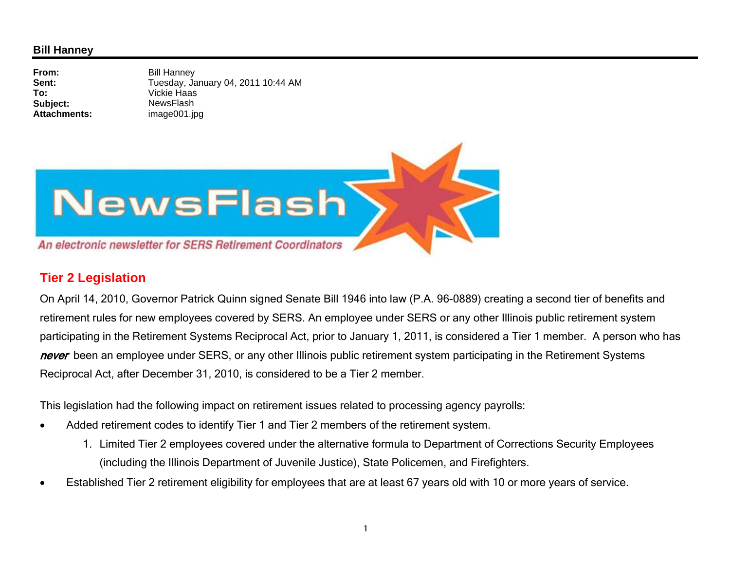## **Bill Hanney**

**From:** Bill Hanney **Sent:** Tuesday, January 04, 2011 10:44 AM **To:** Vickie Haas **Subject:** NewsFlash **Attachments:**image001.jpg



## **Tier 2 Legislation**

On April 14, 2010, Governor Patrick Quinn signed Senate Bill 1946 into law (P.A. 96-0889) creating a second tier of benefits and retirement rules for new employees covered by SERS. An employee under SERS or any other Illinois public retirement system participating in the Retirement Systems Reciprocal Act, prior to January 1, 2011, is considered a Tier 1 member. A person who has never been an employee under SERS, or any other Illinois public retirement system participating in the Retirement Systems Reciprocal Act, after December 31, 2010, is considered to be a Tier 2 member.

This legislation had the following impact on retirement issues related to processing agency payrolls:

- 0 Added retirement codes to identify Tier 1 and Tier 2 members of the retirement system.
	- 1. Limited Tier 2 employees covered under the alternative formula to Department of Corrections Security Employees (including the Illinois Department of Juvenile Justice), State Policemen, and Firefighters.
- . Established Tier 2 retirement eligibility for employees that are at least 67 years old with 10 or more years of service.